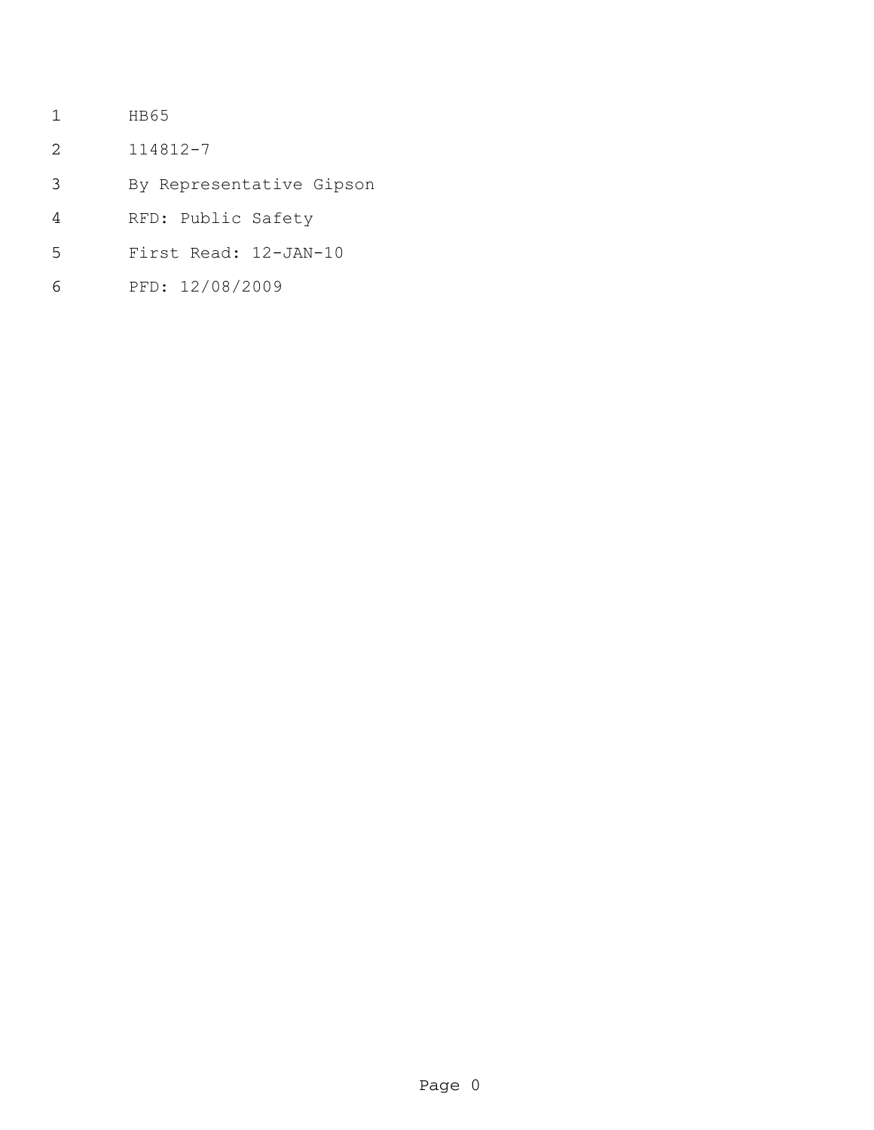- HB65
- 114812-7
- By Representative Gipson
- RFD: Public Safety
- First Read: 12-JAN-10
- PFD: 12/08/2009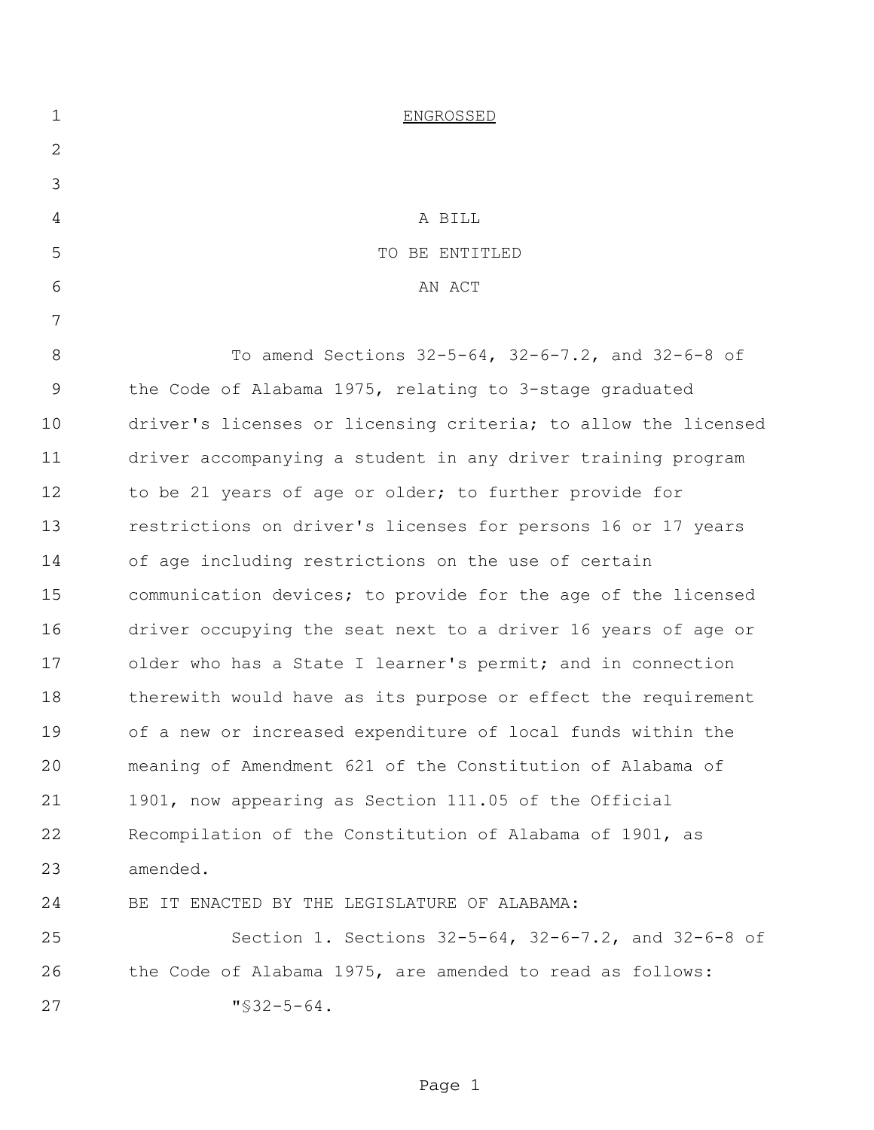| $\mathbf 1$ | <b>ENGROSSED</b>                                               |
|-------------|----------------------------------------------------------------|
| 2           |                                                                |
| 3           |                                                                |
| 4           | A BILL                                                         |
| 5           | TO BE ENTITLED                                                 |
| 6           | AN ACT                                                         |
| 7           |                                                                |
| 8           | To amend Sections 32-5-64, 32-6-7.2, and 32-6-8 of             |
| 9           | the Code of Alabama 1975, relating to 3-stage graduated        |
| 10          | driver's licenses or licensing criteria; to allow the licensed |
| 11          | driver accompanying a student in any driver training program   |
| 12          | to be 21 years of age or older; to further provide for         |
| 13          | restrictions on driver's licenses for persons 16 or 17 years   |
| 14          | of age including restrictions on the use of certain            |
| 15          | communication devices; to provide for the age of the licensed  |
| 16          | driver occupying the seat next to a driver 16 years of age or  |
| 17          | older who has a State I learner's permit; and in connection    |
| 18          | therewith would have as its purpose or effect the requirement  |
| 19          | of a new or increased expenditure of local funds within the    |
| 20          | meaning of Amendment 621 of the Constitution of Alabama of     |
| 21          | 1901, now appearing as Section 111.05 of the Official          |
| 22          | Recompilation of the Constitution of Alabama of 1901, as       |
| 23          | amended.                                                       |
| 24          | BE IT ENACTED BY THE LEGISLATURE OF ALABAMA:                   |
| 25          | Section 1. Sections 32-5-64, 32-6-7.2, and 32-6-8 of           |
| 26          | the Code of Alabama 1975, are amended to read as follows:      |
| 27          | $"$ \$32-5-64.                                                 |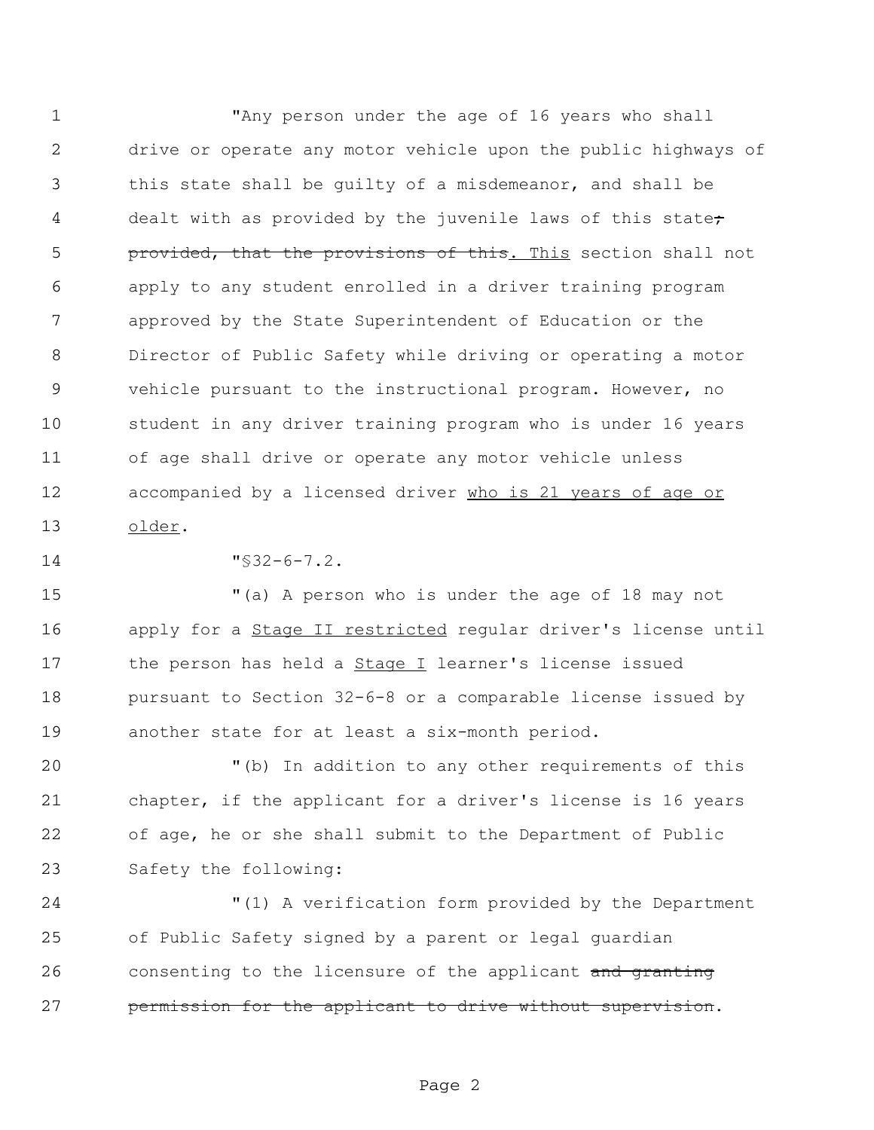"Any person under the age of 16 years who shall drive or operate any motor vehicle upon the public highways of this state shall be guilty of a misdemeanor, and shall be 4 dealt with as provided by the juvenile laws of this state<del>;</del> **provided, that the provisions of this.** This section shall not apply to any student enrolled in a driver training program approved by the State Superintendent of Education or the Director of Public Safety while driving or operating a motor vehicle pursuant to the instructional program. However, no student in any driver training program who is under 16 years of age shall drive or operate any motor vehicle unless 12 accompanied by a licensed driver who is 21 years of age or older.

"§32-6-7.2.

 "(a) A person who is under the age of 18 may not apply for a Stage II restricted regular driver's license until the person has held a Stage I learner's license issued pursuant to Section 32-6-8 or a comparable license issued by another state for at least a six-month period.

 "(b) In addition to any other requirements of this chapter, if the applicant for a driver's license is 16 years of age, he or she shall submit to the Department of Public Safety the following:

 "(1) A verification form provided by the Department of Public Safety signed by a parent or legal guardian 26 consenting to the licensure of the applicant and granting permission for the applicant to drive without supervision.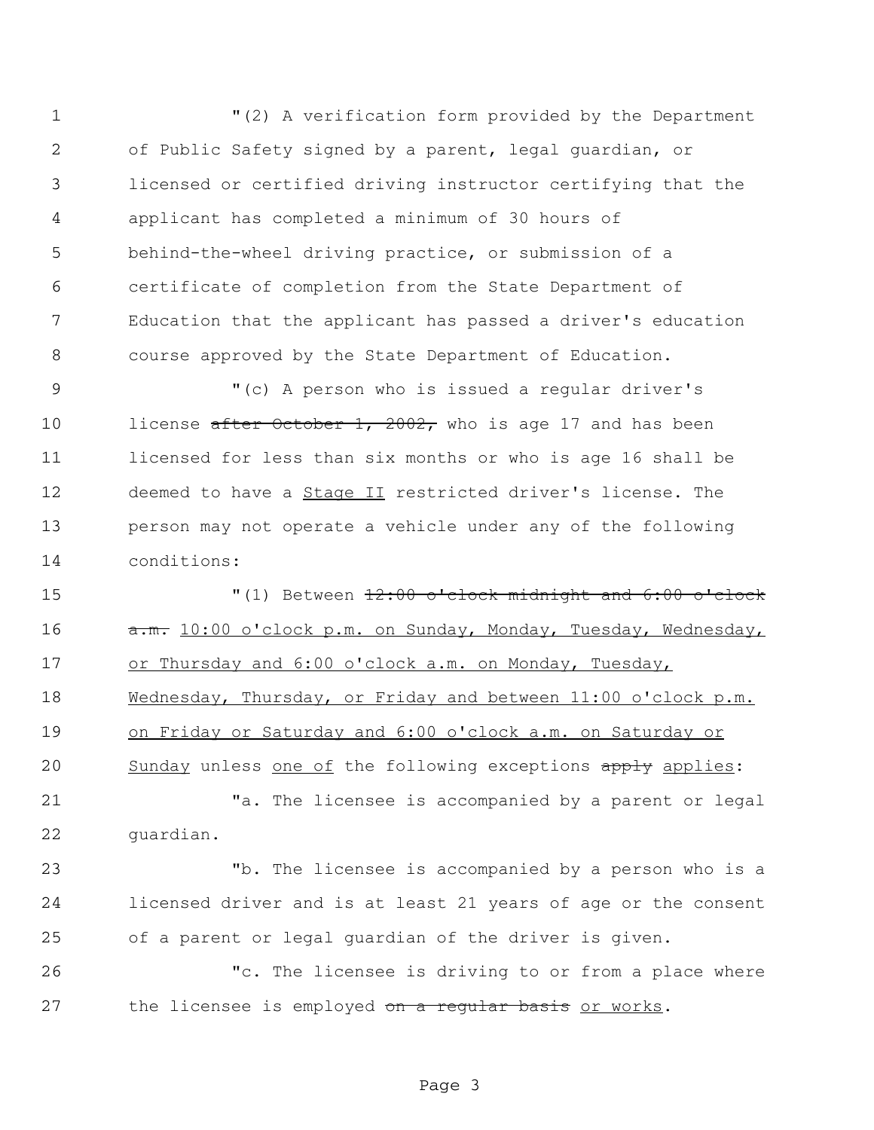"(2) A verification form provided by the Department of Public Safety signed by a parent, legal guardian, or licensed or certified driving instructor certifying that the applicant has completed a minimum of 30 hours of behind-the-wheel driving practice, or submission of a certificate of completion from the State Department of Education that the applicant has passed a driver's education course approved by the State Department of Education.

 "(c) A person who is issued a regular driver's 10 license after October 1, 2002, who is age 17 and has been licensed for less than six months or who is age 16 shall be deemed to have a Stage II restricted driver's license. The person may not operate a vehicle under any of the following conditions:

 "(1) Between 12:00 o'clock midnight and 6:00 o'clock 16 a.m. 10:00 o'clock p.m. on Sunday, Monday, Tuesday, Wednesday, or Thursday and 6:00 o'clock a.m. on Monday, Tuesday, 18 Wednesday, Thursday, or Friday and between 11:00 o'clock p.m. on Friday or Saturday and 6:00 o'clock a.m. on Saturday or 20 Sunday unless one of the following exceptions apply applies:

 "a. The licensee is accompanied by a parent or legal guardian.

 "b. The licensee is accompanied by a person who is a licensed driver and is at least 21 years of age or the consent of a parent or legal guardian of the driver is given.

 "c. The licensee is driving to or from a place where 27 the licensee is employed on a requiar basis or works.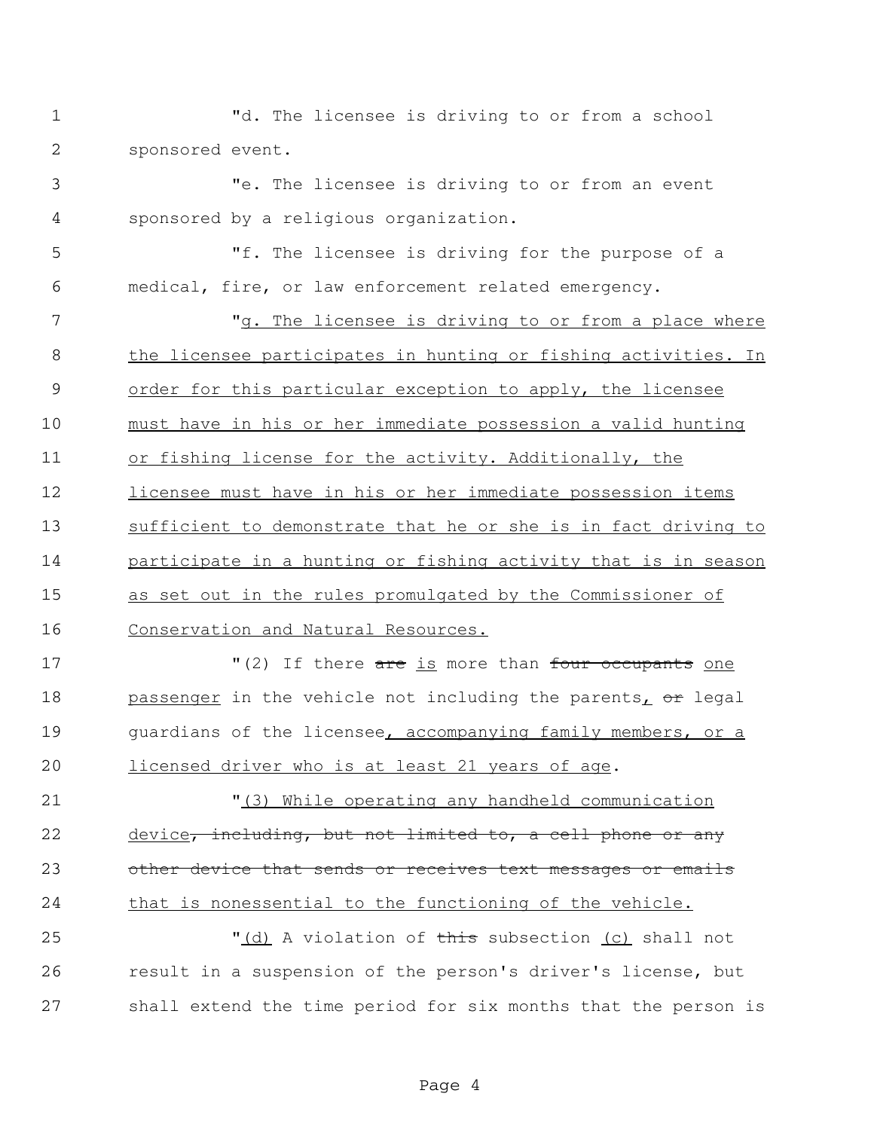- "d. The licensee is driving to or from a school sponsored event.
- "e. The licensee is driving to or from an event sponsored by a religious organization.
- "f. The licensee is driving for the purpose of a medical, fire, or law enforcement related emergency.
- 7 The licensee is driving to or from a place where the licensee participates in hunting or fishing activities. In order for this particular exception to apply, the licensee must have in his or her immediate possession a valid hunting or fishing license for the activity. Additionally, the licensee must have in his or her immediate possession items sufficient to demonstrate that he or she is in fact driving to participate in a hunting or fishing activity that is in season as set out in the rules promulgated by the Commissioner of Conservation and Natural Resources.
- 17 There are is more than four occupants one with the results of the results of the results of the 1 18 passenger in the vehicle not including the parents, or legal guardians of the licensee, accompanying family members, or a licensed driver who is at least 21 years of age.
- "(3) While operating any handheld communication 22 device, including, but not limited to, a cell phone or any 23 other device that sends or receives text messages or emails 24 that is nonessential to the functioning of the vehicle.
- 25 (d) A violation of this subsection (c) shall not result in a suspension of the person's driver's license, but shall extend the time period for six months that the person is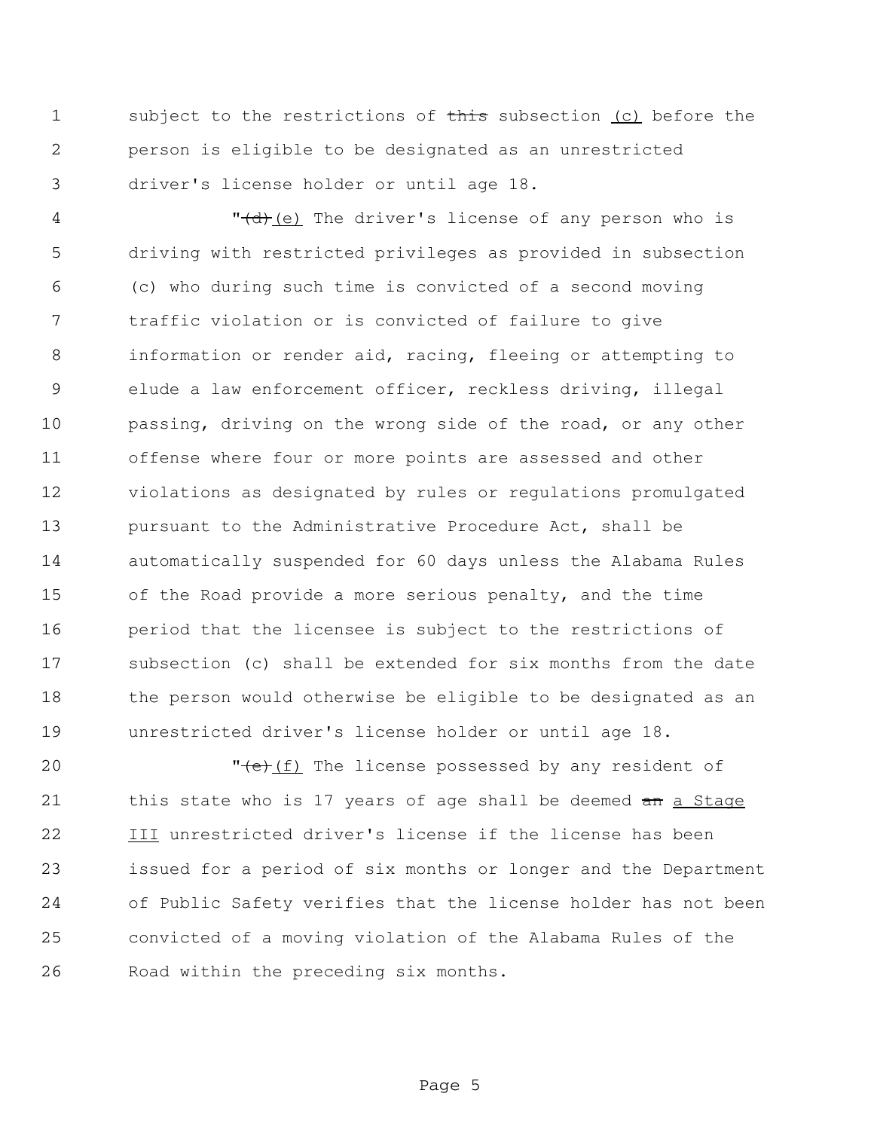1 subject to the restrictions of this subsection (c) before the person is eligible to be designated as an unrestricted driver's license holder or until age 18.

4 "<del>(d)</del>(e) The driver's license of any person who is driving with restricted privileges as provided in subsection (c) who during such time is convicted of a second moving traffic violation or is convicted of failure to give information or render aid, racing, fleeing or attempting to elude a law enforcement officer, reckless driving, illegal passing, driving on the wrong side of the road, or any other offense where four or more points are assessed and other violations as designated by rules or regulations promulgated pursuant to the Administrative Procedure Act, shall be automatically suspended for 60 days unless the Alabama Rules of the Road provide a more serious penalty, and the time period that the licensee is subject to the restrictions of subsection (c) shall be extended for six months from the date the person would otherwise be eligible to be designated as an unrestricted driver's license holder or until age 18.

**"** (e)(f) The license possessed by any resident of 21 this state who is 17 years of age shall be deemed an a Stage III unrestricted driver's license if the license has been issued for a period of six months or longer and the Department of Public Safety verifies that the license holder has not been convicted of a moving violation of the Alabama Rules of the Road within the preceding six months.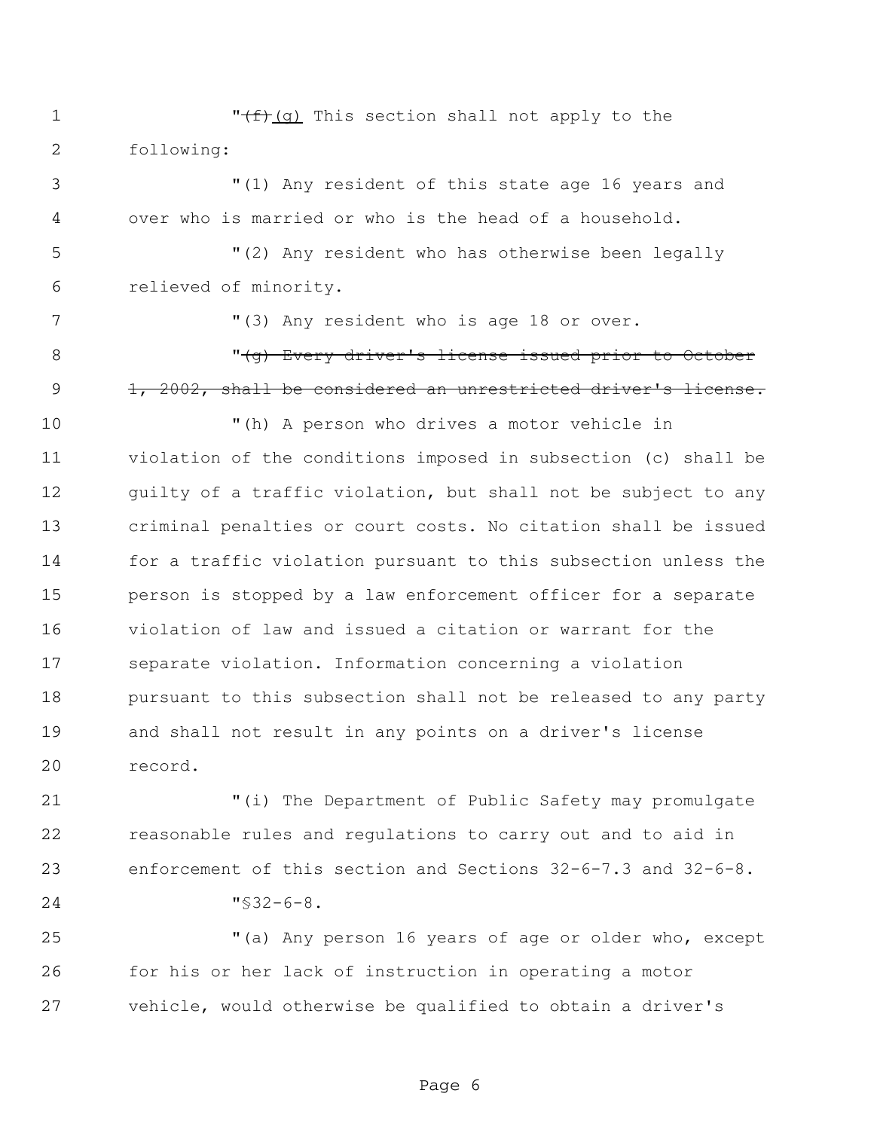1  $\sqrt{f}(\frac{f}{g})$  This section shall not apply to the following:

 "(1) Any resident of this state age 16 years and over who is married or who is the head of a household.

 "(2) Any resident who has otherwise been legally relieved of minority.

7 "(3) Any resident who is age 18 or over.

8 The Mode of the Every driver's license issued prior to October 9 1, 2002, shall be considered an unrestricted driver's license.

 "(h) A person who drives a motor vehicle in violation of the conditions imposed in subsection (c) shall be 12 guilty of a traffic violation, but shall not be subject to any criminal penalties or court costs. No citation shall be issued for a traffic violation pursuant to this subsection unless the person is stopped by a law enforcement officer for a separate violation of law and issued a citation or warrant for the separate violation. Information concerning a violation pursuant to this subsection shall not be released to any party and shall not result in any points on a driver's license record.

 "(i) The Department of Public Safety may promulgate reasonable rules and regulations to carry out and to aid in enforcement of this section and Sections 32-6-7.3 and 32-6-8. "§32-6-8.

 "(a) Any person 16 years of age or older who, except for his or her lack of instruction in operating a motor vehicle, would otherwise be qualified to obtain a driver's

Page 6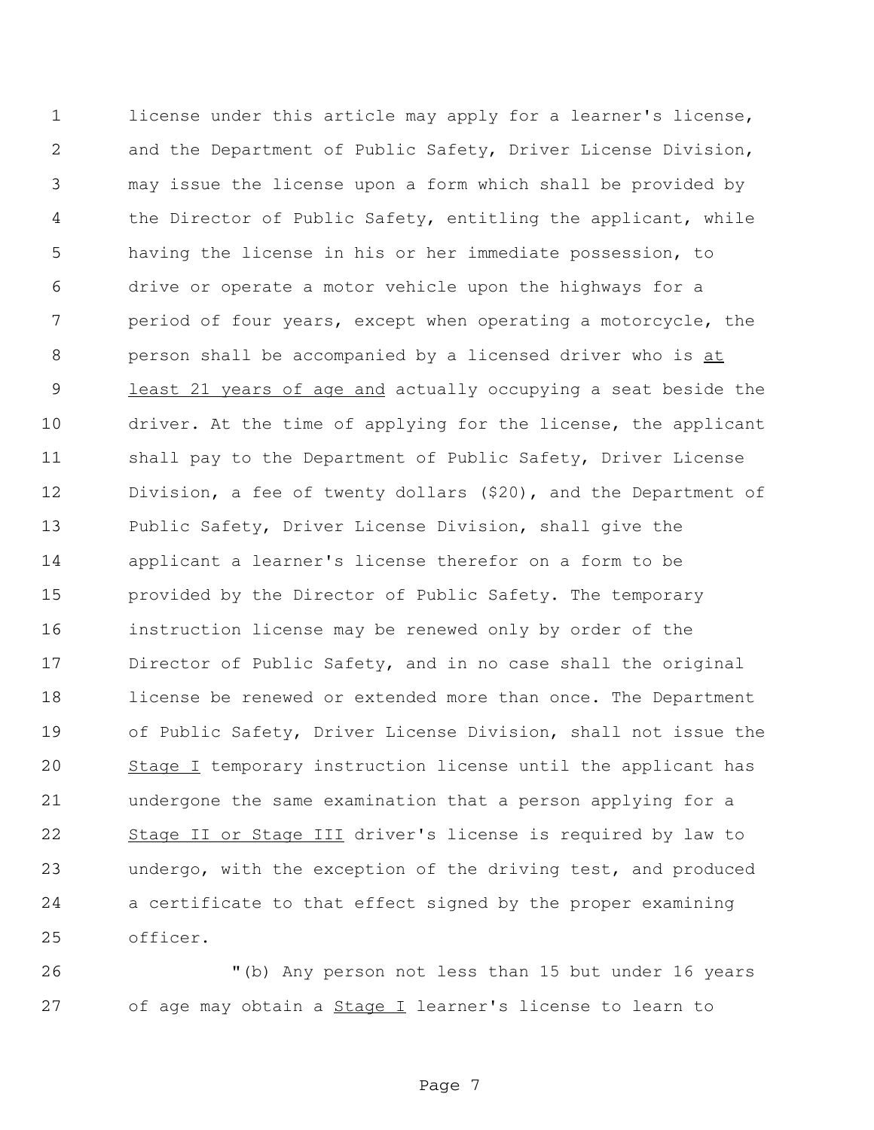license under this article may apply for a learner's license, and the Department of Public Safety, Driver License Division, may issue the license upon a form which shall be provided by the Director of Public Safety, entitling the applicant, while having the license in his or her immediate possession, to drive or operate a motor vehicle upon the highways for a period of four years, except when operating a motorcycle, the 8 person shall be accompanied by a licensed driver who is at least 21 years of age and actually occupying a seat beside the driver. At the time of applying for the license, the applicant shall pay to the Department of Public Safety, Driver License Division, a fee of twenty dollars (\$20), and the Department of Public Safety, Driver License Division, shall give the applicant a learner's license therefor on a form to be provided by the Director of Public Safety. The temporary instruction license may be renewed only by order of the Director of Public Safety, and in no case shall the original license be renewed or extended more than once. The Department of Public Safety, Driver License Division, shall not issue the 20 Stage I temporary instruction license until the applicant has undergone the same examination that a person applying for a 22 Stage II or Stage III driver's license is required by law to undergo, with the exception of the driving test, and produced a certificate to that effect signed by the proper examining officer.

 "(b) Any person not less than 15 but under 16 years 27 of age may obtain a **Stage I** learner's license to learn to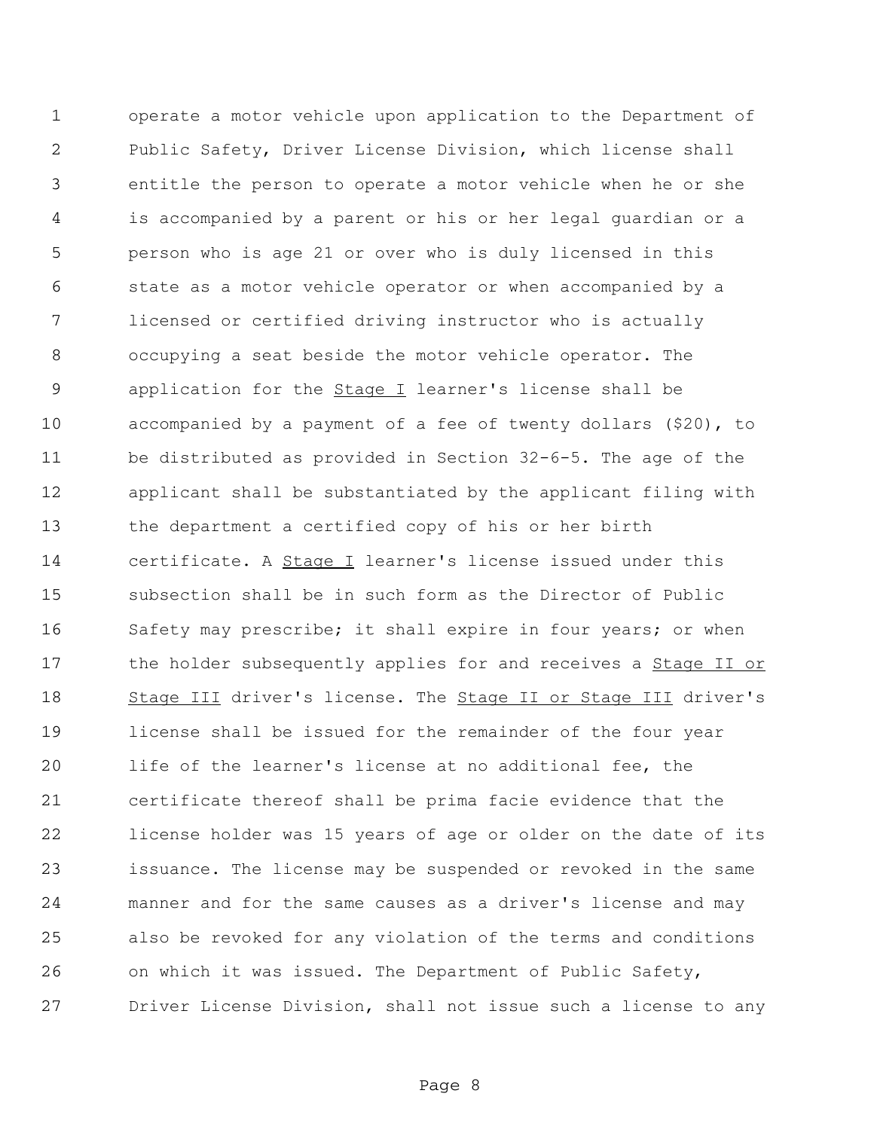operate a motor vehicle upon application to the Department of Public Safety, Driver License Division, which license shall entitle the person to operate a motor vehicle when he or she is accompanied by a parent or his or her legal guardian or a person who is age 21 or over who is duly licensed in this state as a motor vehicle operator or when accompanied by a licensed or certified driving instructor who is actually occupying a seat beside the motor vehicle operator. The 9 application for the **Stage I** learner's license shall be accompanied by a payment of a fee of twenty dollars (\$20), to be distributed as provided in Section 32-6-5. The age of the applicant shall be substantiated by the applicant filing with the department a certified copy of his or her birth certificate. A Stage I learner's license issued under this subsection shall be in such form as the Director of Public Safety may prescribe; it shall expire in four years; or when 17 the holder subsequently applies for and receives a **Stage II or** 18 Stage III driver's license. The Stage II or Stage III driver's license shall be issued for the remainder of the four year life of the learner's license at no additional fee, the certificate thereof shall be prima facie evidence that the license holder was 15 years of age or older on the date of its issuance. The license may be suspended or revoked in the same manner and for the same causes as a driver's license and may also be revoked for any violation of the terms and conditions on which it was issued. The Department of Public Safety, Driver License Division, shall not issue such a license to any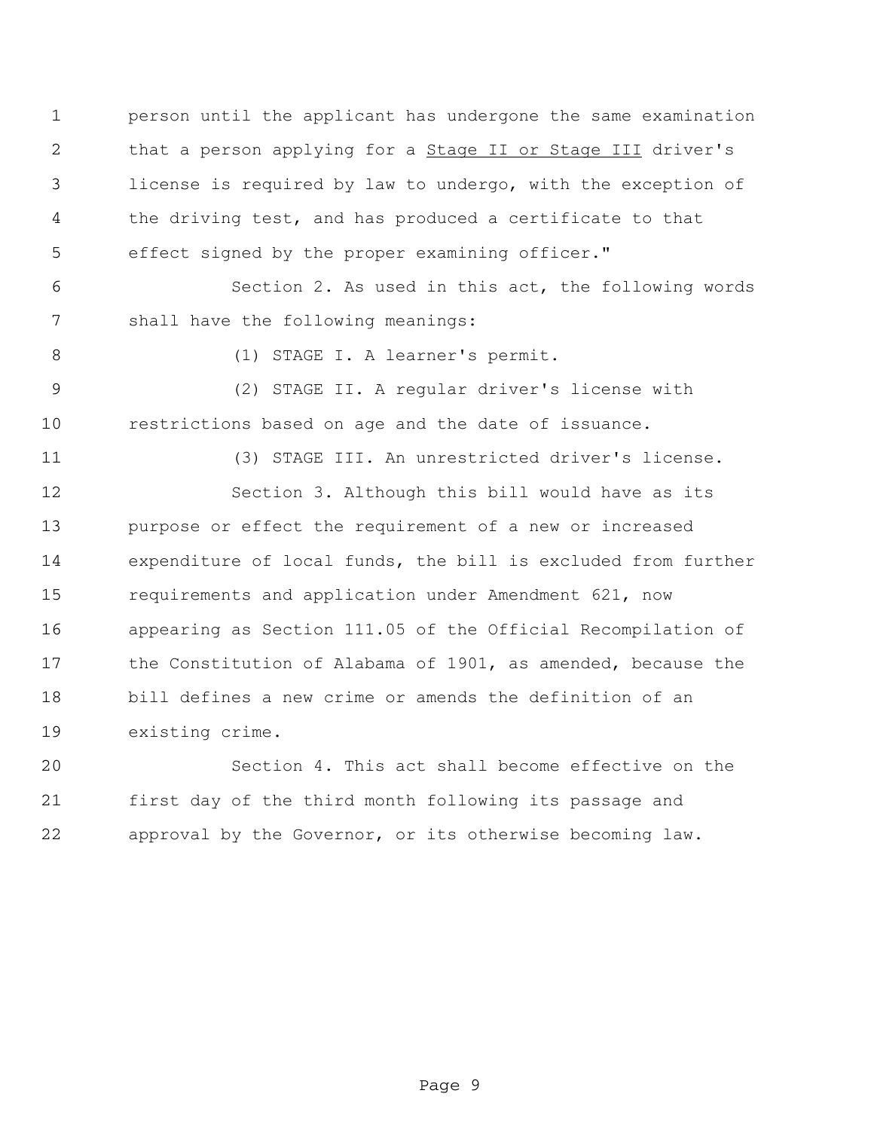person until the applicant has undergone the same examination 2 that a person applying for a **Stage II or Stage III** driver's license is required by law to undergo, with the exception of the driving test, and has produced a certificate to that effect signed by the proper examining officer."

 Section 2. As used in this act, the following words shall have the following meanings:

(1) STAGE I. A learner's permit.

 (2) STAGE II. A regular driver's license with restrictions based on age and the date of issuance.

(3) STAGE III. An unrestricted driver's license.

 Section 3. Although this bill would have as its purpose or effect the requirement of a new or increased expenditure of local funds, the bill is excluded from further requirements and application under Amendment 621, now appearing as Section 111.05 of the Official Recompilation of the Constitution of Alabama of 1901, as amended, because the bill defines a new crime or amends the definition of an existing crime.

 Section 4. This act shall become effective on the first day of the third month following its passage and approval by the Governor, or its otherwise becoming law.